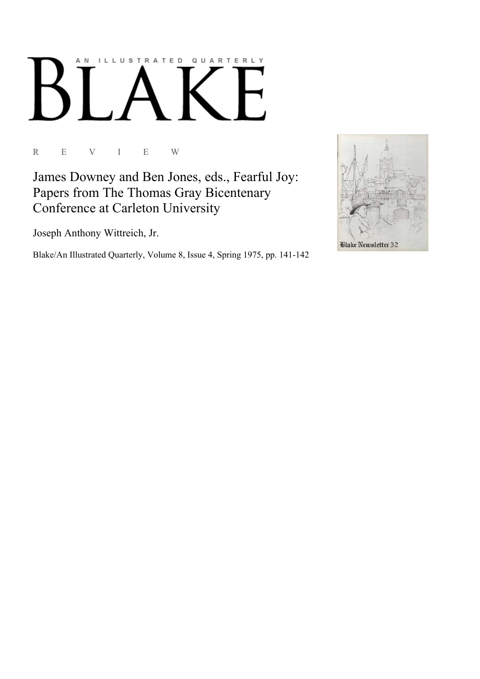## AN ILLUSTRATED QUARTERLY

R E V I E W

James Downey and Ben Jones, eds., Fearful Joy: Papers from The Thomas Gray Bicentenary Conference at Carleton University

Joseph Anthony Wittreich, Jr.

Blake/An Illustrated Quarterly, Volume 8, Issue 4, Spring 1975, pp. 141-142

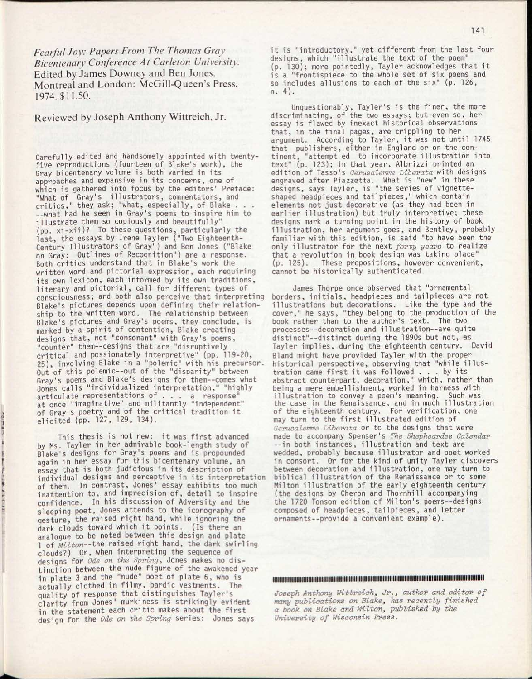*Fearful Joy: Papers From The Thomas Gray Bicentenary Conference At Carleton University.*  Edited by James Downey and Ben Jones. Montreal and London: McGill-Queen's Press, 1974. \$11.50.

Reviewed by Joseph Anthony Wittreich. Jr.

Carefully edited and handsomely appointed with twentyfive reproductions (fourteen of Blake's work), the Gray bicentenary volume is both varied in its approaches and expansive in its concerns, one of which is gathered into focus by the editors' Preface: "What of Gray's illustrators, commentators, and critics, " they ask; "what, especially, of Blake . . . --what had he seen in Gray's poems to inspire him to illustrate them so copiously and beautifully' (pp. xi-xii)? To these questions, particularly the last, the essays by Irene Tayler ("Two Eighteenth-Century Illustrators of Gray") and Ben Jones ("Blake on Gray: Outlines of Recognition") are a response. Both critics understand that in Blake's work the written word and pictorial expression, each requiring its own lexicon, each informed by its own traditions, literary and pictorial, call for different types of consciousness; and both also perceive that interpreting Blake's pictures depends upon defining their relationship to the written word. The relationship between Blake's pictures and Gray's poems, they conclude, is marked by a spirit of contention, Blake creating designs that, not "consonant" with Gray's poems, "counter" them--designs that are "disruptively critical and possionately interpretive" (pp. 119-20, 25), involving Blake in a "polemic" with his precursor. Out of this polemic--out of the "disparity" between Gray's poems and Blake's designs for them--comes what Jones calls "individualized interpretation," "highly articulate representations of . . . a response" at once "imaginative" and militantly "independent" of Gray's poetry and of the critical tradition it elicited (pp. 127, 129, 134).

This thesis is not new: it was first advanced by Ms. Tayler in her admirable book-length study of **Blake's designs for Gray's poems and is propounded** again in her essay for this bicentenary volume, an essay that is both judicious in its description of individual designs and perceptive in its interpretation of them. In contrast, Jones' essay exhibits too much inattention to, and imprecision of, detail to inspire confidence. In his discussion of Adversity and the sleeping poet, Jones attends to the iconography of gesture, the raised right hand, while ignoring the dark clouds toward which it points. (Is there an analogue to be noted between this design and plate 1 of *Milton--the* raised right hand, the dark swirling clouds?) Or, when interpreting the sequence of designs for *Ode on the Spring,* Jones makes no dis tinction between the nude figure of the awakened year in plate 3 and the "nude" poet of plate 6, who is actually clothed in filmy, bardic vestments. The quality of response that distinguishes Tayler's clarity from Jones' murkiness is strikingly evident in the statement each critic makes about the first design for the *Ode on the Spring* series: Jones says

f

-,

it is "introductory," yet different from the last four designs, which "illustrate the text of the poem" (p. 130); more pointedly, Tayler acknowledges that it is a "frontispiece to the whole set of six poems and so includes allusions to each of the six" (p. 126, n. 4).

Unquestionably, Tayler's is the finer, the more discriminating, of the two essays; but even so, her essay is flawed by inexact historical observations that, in the final pages, are crippling to her argument. According to Tayler, it was not until 1745 that publishers, either in England or on the continent, "attempt ed to incorporate illustration into text" (p. 123); in that year, Albrizzi printed an edition of Tasso's *Gerusalemme Liberata* with designs engraved after Piazzetta. What is "new" in these designs, says Tayler, is "the series of vignetteshaped headpieces and tailpieces," which contain elements not just decorative (as they had been in earlier illustration) but truly interpretive; these designs mark a turning point in the history of book illustration, her argument goes, and Bentley, probably familiar with this edition, is said "to have been the only illustrator for the next *forty years* to realize that a revolution in book design was taking place" (p. 125). These propositions, however convenient, cannot be historically authenticated.

James Thorpe once observed that "ornamental borders, initials , headpieces and tailpieces are not illustrations but decorations. Like the type and the cover," he says, "they belong to the production of the book rather than to the author's text. The two processes--decoration and illustration--are quite distinct"--distinct during the 1890s but not, as Tayler implies, during the eighteenth century. David Bland might have provided Tayler with the proper historical perspective, observing that "while illustration came first it was followed  $\ldots$  by its abstract counterpart, decoration," which, rather than being a mere embellishment, worked in harness with illustration to convey a poem's meaning. Such was the case in the Renaissance, and in much illustration of the eighteenth century. For verification, one may turn to the first illustrated edition of *Gerusalemme Liberata* or to the designs that were made to accompany Spenser's *The Shepheardes Calendar*  --in both instances, illustration and text are wedded, probably because illustrator and poet worked in consort. Or for the kind of unity Tayler discovers between decoration and illustration, one may turn to biblical illustration of the Renaissance or to some Milton illustration of the early eighteenth century (the designs by Cheron and Thornhill accompanying the 1720 Tonson edition of Milton's poems--designs composed of headpieces, tailpieces, and letter ornaments—provide a convenient example).

lllllllllllllllllllllllllillllllllllllllllllllllllllllllllllllllllllllllllllllllllllllllllllilllliililiiilllliillllliiillllll

*Joseph Anthony Wittreich, Jr., author and editor of many publications on Blake, has recently finished a book on Blake and Milton, published by the University of Wisconsin Press.*